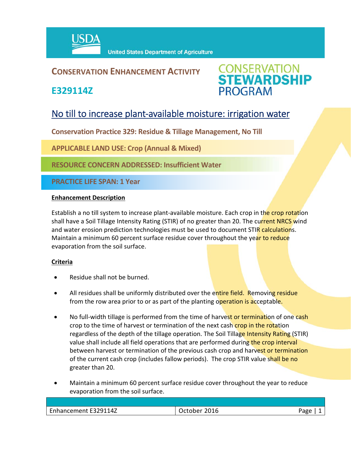

## **CONSERVATION ENHANCEMENT ACTIVITY**

**E329114Z**



# No till to increase plant-available moisture: irrigation water

**Conservation Practice 329: Residue & Tillage Management, No Till** 

**APPLICABLE LAND USE: Crop (Annual & Mixed)**

**RESOURCE CONCERN ADDRESSED: Insufficient Water**

**PRACTICE LIFE SPAN: 1 Year**

#### **Enhancement Description**

Establish a no till system to increase plant-available moisture. Each crop in the crop rotation shall have a Soil Tillage Intensity Rating (STIR) of no greater than 20. The current NRCS wind and water erosion prediction technologies must be used to document STIR calculations. Maintain a minimum 60 percent surface residue cover throughout the year to reduce evaporation from the soil surface.

### **Criteria**

- Residue shall not be burned.
- All residues shall be uniformly distributed over the entire field. Removing residue from the row area prior to or as part of the planting operation is acceptable.
- No full-width tillage is performed from the time of harvest or termination of one cash crop to the time of harvest or termination of the next cash crop in the rotation regardless of the depth of the tillage operation. The Soil Tillage Intensity Rating (STIR) value shall include all field operations that are performed during the crop interval between harvest or termination of the previous cash crop and harvest or termination of the current cash crop (includes fallow periods). The crop STIR value shall be no greater than 20.
- Maintain a minimum 60 percent surface residue cover throughout the year to reduce evaporation from the soil surface.

| -<br>nhancement E329114Z<br>$.$ nhonogno-ni<br>いしいいしい | 3222<br>いへへい<br>ZUID<br>⊣∪⊢ |  |
|-------------------------------------------------------|-----------------------------|--|